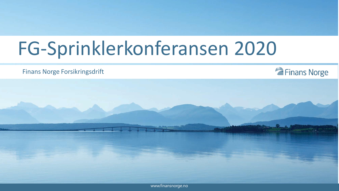## FG-Sprinklerkonferansen 2020

#### Finans Norge Forsikringsdrift





www.finansnorge.no www.finansnorge.no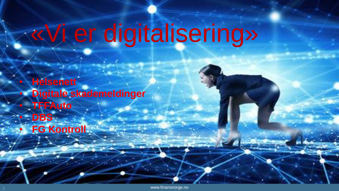# «Vi er digitalisering»

• **Helsenett** • **Digitale skademeldinger** • **TFFAuto** • **DBS FG Kontroll**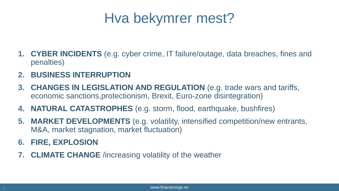### Hva bekymrer mest?

- **1. CYBER INCIDENTS** (e.g. cyber crime, IT failure/outage, data breaches, fines and penalties)
- **2. BUSINESS INTERRUPTION**
- **3. CHANGES IN LEGISLATION AND REGULATION** (e.g. trade wars and tariffs, economic sanctions,protectionism, Brexit, Euro-zone disintegration)
- **4. NATURAL CATASTROPHES** (e.g. storm, flood, earthquake, bushfires)
- **5. MARKET DEVELOPMENTS** (e.g. volatility, intensified competition/new entrants, M&A, market stagnation, market fluctuation)
- **6. FIRE, EXPLOSION**
- **7. CLIMATE CHANGE** /increasing volatility of the weather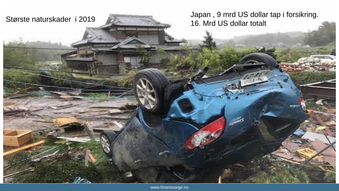

Japan , 9 mrd US dollar tap i forsikring. Største naturskader i 2019<br>16. Mrd US dollar totalt

www.finansnorge.no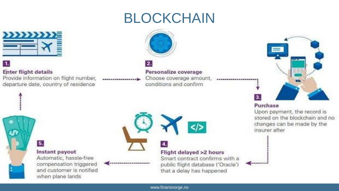### BLOCKCHAIN



#### **Enter flight details**

Provide information on flight number, departure date, country of residence



Personalize coverage

Choose coverage amount, conditions and confirm



#### Purchase

Upon payment, the record is stored on the blockchain and no changes can be made by the insurer after

5.

#### Instant payout Automatic, hassle-free compensation triggered and customer is notified when plane lands



............

#### Flight delayed >2 hours Smart contract confirms with a public flight database ('Oracle') that a delay has happened

 $\le$ 

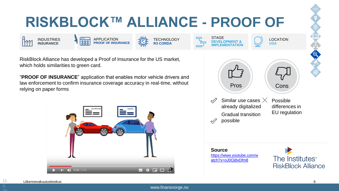### **RISKBLOCK™ ALLIANCE - PROOF OF**

佰

TECHNOLOGY **R3 CORDA**

RiskBlock Alliance has developed a Proof of Insurance for the US market, which holds similarities to green card.

APPLICATION **PROOF OF INSURANCE**

**INDUSTRIES**<br> **INSURANCE** 

INDUSTRIES **INSURANCE**

"**PROOF OF INSURANCE**" application that enables motor vehicle drivers and law enforcement to confirm insurance coverage accuracy in real-time, without relying on paper forms



Similar use cases  $\times$ already digitalized Gradual transition possible Possible differences in EU regulation **STAGE DEVELOPMENT & IMPLEMENTATION** LOCATION **USA** Pros Cons

**Source** [https://www.youtube.com/w](https://www.youtube.com/watch?v=oJ0Oj8vDfm8) atch?v=oJ0Oj8vDfm8



11.

ററ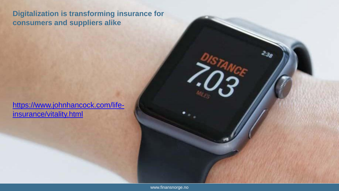### **Digitalization is transforming insurance for consumers and suppliers alike**

[https://www.johnhancock.com/life](https://www.johnhancock.com/life-insurance/vitality.html)insurance/vitality.html